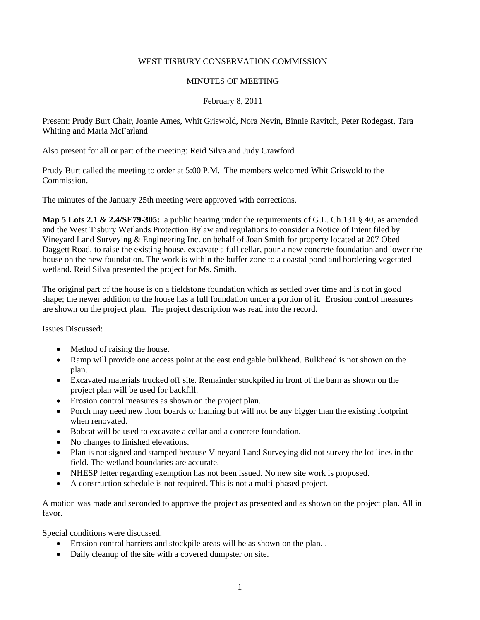#### WEST TISBURY CONSERVATION COMMISSION

#### MINUTES OF MEETING

## February 8, 2011

Present: Prudy Burt Chair, Joanie Ames, Whit Griswold, Nora Nevin, Binnie Ravitch, Peter Rodegast, Tara Whiting and Maria McFarland

Also present for all or part of the meeting: Reid Silva and Judy Crawford

Prudy Burt called the meeting to order at 5:00 P.M. The members welcomed Whit Griswold to the Commission.

The minutes of the January 25th meeting were approved with corrections.

**Map 5 Lots 2.1 & 2.4/SE79-305:** a public hearing under the requirements of G.L. Ch.131 § 40, as amended and the West Tisbury Wetlands Protection Bylaw and regulations to consider a Notice of Intent filed by Vineyard Land Surveying & Engineering Inc. on behalf of Joan Smith for property located at 207 Obed Daggett Road, to raise the existing house, excavate a full cellar, pour a new concrete foundation and lower the house on the new foundation. The work is within the buffer zone to a coastal pond and bordering vegetated wetland. Reid Silva presented the project for Ms. Smith.

The original part of the house is on a fieldstone foundation which as settled over time and is not in good shape; the newer addition to the house has a full foundation under a portion of it. Erosion control measures are shown on the project plan. The project description was read into the record.

Issues Discussed:

- Method of raising the house.
- Ramp will provide one access point at the east end gable bulkhead. Bulkhead is not shown on the plan.
- Excavated materials trucked off site. Remainder stockpiled in front of the barn as shown on the project plan will be used for backfill.
- Erosion control measures as shown on the project plan.
- Porch may need new floor boards or framing but will not be any bigger than the existing footprint when renovated.
- Bobcat will be used to excavate a cellar and a concrete foundation.
- No changes to finished elevations.
- Plan is not signed and stamped because Vineyard Land Surveying did not survey the lot lines in the field. The wetland boundaries are accurate.
- NHESP letter regarding exemption has not been issued. No new site work is proposed.
- A construction schedule is not required. This is not a multi-phased project.

A motion was made and seconded to approve the project as presented and as shown on the project plan. All in favor.

Special conditions were discussed.

- Erosion control barriers and stockpile areas will be as shown on the plan. .
- Daily cleanup of the site with a covered dumpster on site.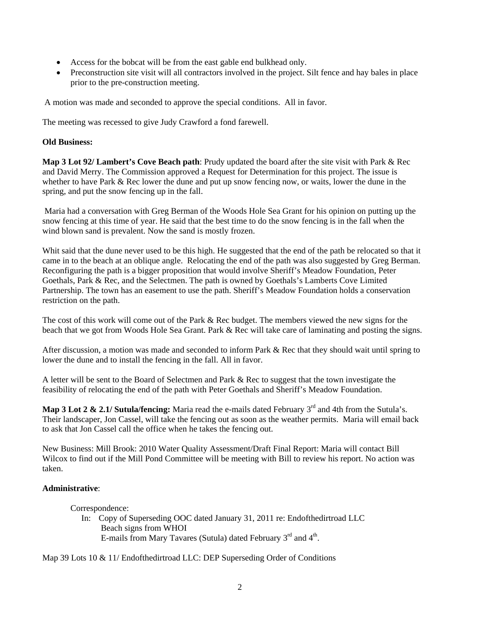- Access for the bobcat will be from the east gable end bulkhead only.
- Preconstruction site visit will all contractors involved in the project. Silt fence and hay bales in place prior to the pre-construction meeting.

A motion was made and seconded to approve the special conditions. All in favor.

The meeting was recessed to give Judy Crawford a fond farewell.

# **Old Business:**

**Map 3 Lot 92/ Lambert's Cove Beach path**: Prudy updated the board after the site visit with Park & Rec and David Merry. The Commission approved a Request for Determination for this project. The issue is whether to have Park & Rec lower the dune and put up snow fencing now, or waits, lower the dune in the spring, and put the snow fencing up in the fall.

 Maria had a conversation with Greg Berman of the Woods Hole Sea Grant for his opinion on putting up the snow fencing at this time of year. He said that the best time to do the snow fencing is in the fall when the wind blown sand is prevalent. Now the sand is mostly frozen.

Whit said that the dune never used to be this high. He suggested that the end of the path be relocated so that it came in to the beach at an oblique angle. Relocating the end of the path was also suggested by Greg Berman. Reconfiguring the path is a bigger proposition that would involve Sheriff's Meadow Foundation, Peter Goethals, Park & Rec, and the Selectmen. The path is owned by Goethals's Lamberts Cove Limited Partnership. The town has an easement to use the path. Sheriff's Meadow Foundation holds a conservation restriction on the path.

The cost of this work will come out of the Park & Rec budget. The members viewed the new signs for the beach that we got from Woods Hole Sea Grant. Park & Rec will take care of laminating and posting the signs.

After discussion, a motion was made and seconded to inform Park & Rec that they should wait until spring to lower the dune and to install the fencing in the fall. All in favor.

A letter will be sent to the Board of Selectmen and Park & Rec to suggest that the town investigate the feasibility of relocating the end of the path with Peter Goethals and Sheriff's Meadow Foundation.

**Map 3 Lot 2 & 2.1/ Sutula/fencing:** Maria read the e-mails dated February 3<sup>rd</sup> and 4th from the Sutula's. Their landscaper, Jon Cassel, will take the fencing out as soon as the weather permits. Maria will email back to ask that Jon Cassel call the office when he takes the fencing out.

New Business: Mill Brook: 2010 Water Quality Assessment/Draft Final Report: Maria will contact Bill Wilcox to find out if the Mill Pond Committee will be meeting with Bill to review his report. No action was taken.

## **Administrative**:

## Correspondence:

 In: Copy of Superseding OOC dated January 31, 2011 re: Endofthedirtroad LLC Beach signs from WHOI E-mails from Mary Tavares (Sutula) dated February  $3<sup>rd</sup>$  and  $4<sup>th</sup>$ .

Map 39 Lots 10 & 11/ Endofthedirtroad LLC: DEP Superseding Order of Conditions